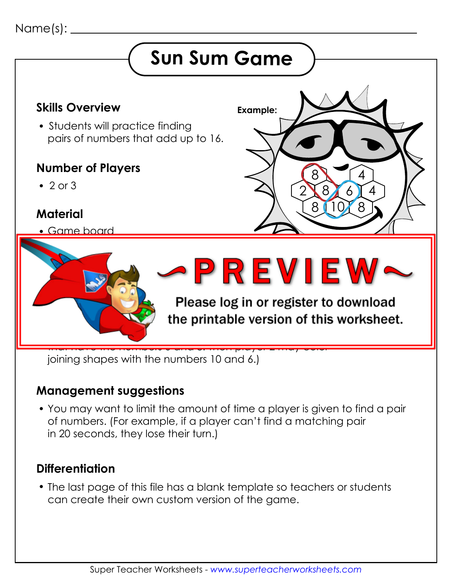### Name(s):

# **Sun Sum Game**



joining shapes with the numbers 10 and 6.)

#### **Management suggestions**

 You may want to limit the amount of time a player is given to find a pair of numbers. (For example, if a player can't find a matching pair in 20 seconds, they lose their turn.)

#### **Differentiation**

 The last page of this file has a blank template so teachers or students can create their own custom version of the game.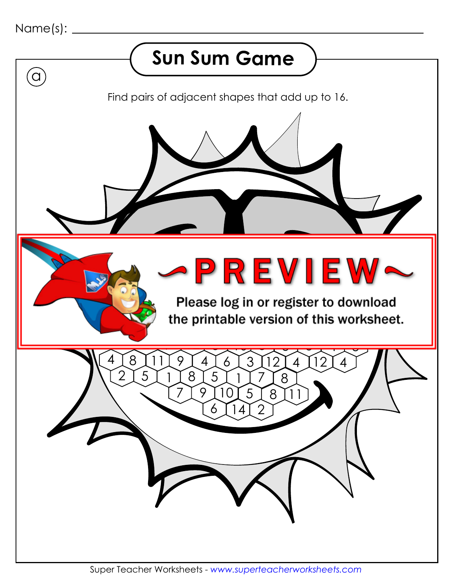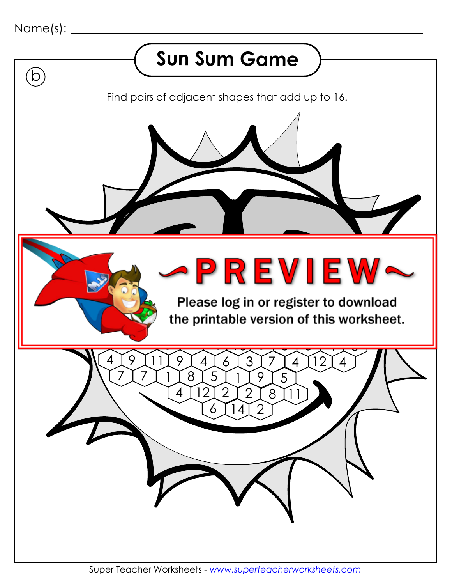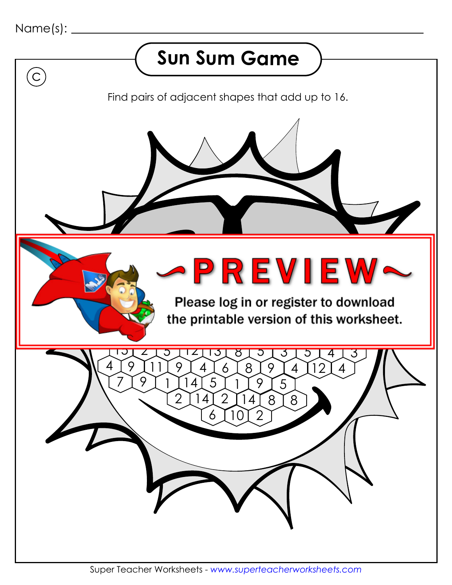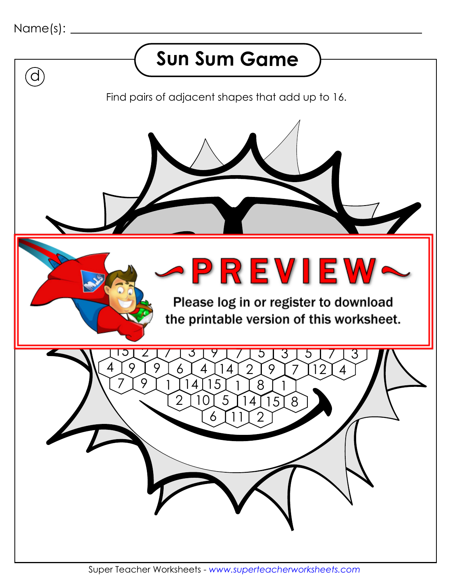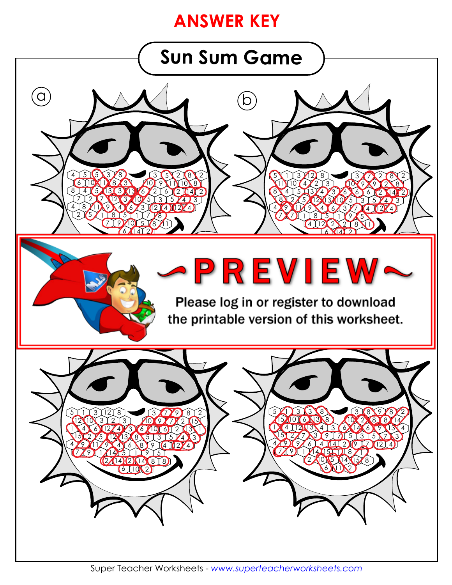## **ANSWER KEY**